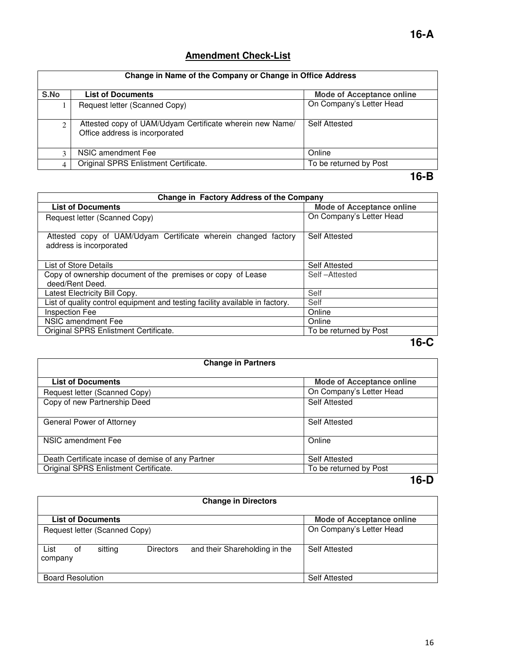### **Amendment Check-List**

| Change in Name of the Company or Change in Office Address |                                                                                            |                                  |
|-----------------------------------------------------------|--------------------------------------------------------------------------------------------|----------------------------------|
| S.No                                                      | <b>List of Documents</b>                                                                   | <b>Mode of Acceptance online</b> |
|                                                           | Request letter (Scanned Copy)                                                              | On Company's Letter Head         |
| 2                                                         | Attested copy of UAM/Udyam Certificate wherein new Name/<br>Office address is incorporated | <b>Self Attested</b>             |
| 3                                                         | NSIC amendment Fee                                                                         | Online                           |
|                                                           | Original SPRS Enlistment Certificate.                                                      | To be returned by Post           |
|                                                           |                                                                                            | 10 D                             |

#### **16-B**

| Change in Factory Address of the Company                                                  |                                  |  |
|-------------------------------------------------------------------------------------------|----------------------------------|--|
| <b>List of Documents</b>                                                                  | <b>Mode of Acceptance online</b> |  |
| Request letter (Scanned Copy)                                                             | On Company's Letter Head         |  |
| Attested copy of UAM/Udyam Certificate wherein changed factory<br>address is incorporated | Self Attested                    |  |
| List of Store Details                                                                     | <b>Self Attested</b>             |  |
| Copy of ownership document of the premises or copy of Lease<br>deed/Rent Deed.            | Self-Attested                    |  |
| Latest Electricity Bill Copy.                                                             | Self                             |  |
| List of quality control equipment and testing facility available in factory.              | Self                             |  |
| <b>Inspection Fee</b>                                                                     | Online                           |  |
| NSIC amendment Fee                                                                        | Online                           |  |
| Original SPRS Enlistment Certificate.                                                     | To be returned by Post           |  |
|                                                                                           | 16-C                             |  |

## **Change in Partners List of Documents**<br> **List of Documents**<br> **Mode of Acceptance online**<br> **Mode of Acceptance online**<br> **Mode of Acceptance online** Request letter (Scanned Copy) On Company<br>
Copy of new Partnership Deed Self Attested Copy of new Partnership Deed General Power of Attorney Self Attested NSIC amendment Fee Online Death Certificate incase of demise of any Partner Self Attested<br>
Original SPRS Enlistment Certificate.<br>
To be returned by Post Original SPRS Enlistment Certificate.

**16-D** 

| <b>Change in Directors</b> |                               |                  |                               |                                  |
|----------------------------|-------------------------------|------------------|-------------------------------|----------------------------------|
|                            | <b>List of Documents</b>      |                  |                               | <b>Mode of Acceptance online</b> |
|                            | Request letter (Scanned Copy) |                  |                               | On Company's Letter Head         |
| List<br>οf<br>company      | sitting                       | <b>Directors</b> | and their Shareholding in the | Self Attested                    |
| <b>Board Resolution</b>    |                               |                  | <b>Self Attested</b>          |                                  |